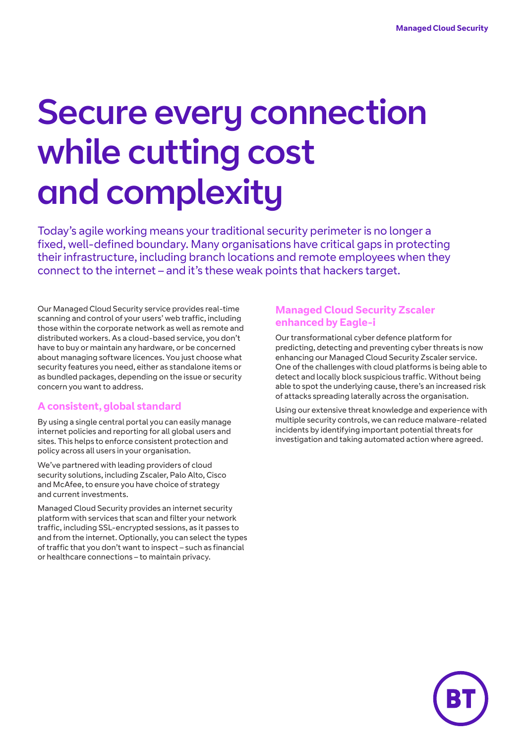# Secure every connection while cutting cost and complexity

Today's agile working means your traditional security perimeter is no longer a fixed, well-defined boundary. Many organisations have critical gaps in protecting their infrastructure, including branch locations and remote employees when they connect to the internet – and it's these weak points that hackers target.

Our Managed Cloud Security service provides real-time scanning and control of your users' web traffic, including those within the corporate network as well as remote and distributed workers. As a cloud-based service, you don't have to buy or maintain any hardware, or be concerned about managing software licences. You just choose what security features you need, either as standalone items or as bundled packages, depending on the issue or security concern you want to address.

# **A consistent, global standard**

By using a single central portal you can easily manage internet policies and reporting for all global users and sites. This helps to enforce consistent protection and policy across all users in your organisation.

We've partnered with leading providers of cloud security solutions, including Zscaler, Palo Alto, Cisco and McAfee, to ensure you have choice of strategy and current investments.

Managed Cloud Security provides an internet security platform with services that scan and filter your network traffic, including SSL-encrypted sessions, as it passes to and from the internet. Optionally, you can select the types of traffic that you don't want to inspect – such as financial or healthcare connections – to maintain privacy.

# **Managed Cloud Security Zscaler enhanced by Eagle-i**

Our transformational cyber defence platform for predicting, detecting and preventing cyber threats is now enhancing our Managed Cloud Security Zscaler service. One of the challenges with cloud platforms is being able to detect and locally block suspicious traffic. Without being able to spot the underlying cause, there's an increased risk of attacks spreading laterally across the organisation.

Using our extensive threat knowledge and experience with multiple security controls, we can reduce malware-related incidents by identifying important potential threats for investigation and taking automated action where agreed.